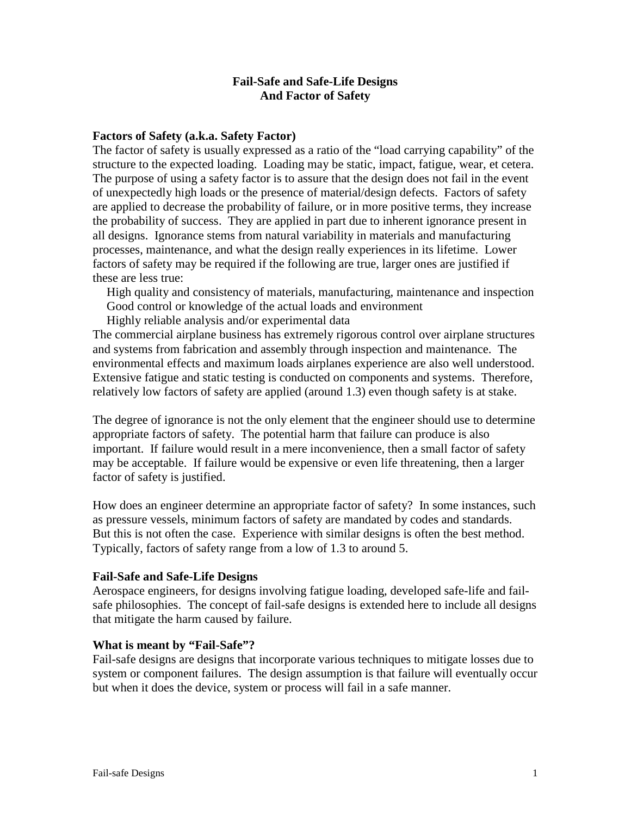# **Fail-Safe and Safe-Life Designs And Factor of Safety**

# **Factors of Safety (a.k.a. Safety Factor)**

The factor of safety is usually expressed as a ratio of the "load carrying capability" of the structure to the expected loading. Loading may be static, impact, fatigue, wear, et cetera. The purpose of using a safety factor is to assure that the design does not fail in the event of unexpectedly high loads or the presence of material/design defects. Factors of safety are applied to decrease the probability of failure, or in more positive terms, they increase the probability of success. They are applied in part due to inherent ignorance present in all designs. Ignorance stems from natural variability in materials and manufacturing processes, maintenance, and what the design really experiences in its lifetime. Lower factors of safety may be required if the following are true, larger ones are justified if these are less true:

High quality and consistency of materials, manufacturing, maintenance and inspection Good control or knowledge of the actual loads and environment

Highly reliable analysis and/or experimental data

The commercial airplane business has extremely rigorous control over airplane structures and systems from fabrication and assembly through inspection and maintenance. The environmental effects and maximum loads airplanes experience are also well understood. Extensive fatigue and static testing is conducted on components and systems. Therefore, relatively low factors of safety are applied (around 1.3) even though safety is at stake.

The degree of ignorance is not the only element that the engineer should use to determine appropriate factors of safety. The potential harm that failure can produce is also important. If failure would result in a mere inconvenience, then a small factor of safety may be acceptable. If failure would be expensive or even life threatening, then a larger factor of safety is justified.

How does an engineer determine an appropriate factor of safety? In some instances, such as pressure vessels, minimum factors of safety are mandated by codes and standards. But this is not often the case. Experience with similar designs is often the best method. Typically, factors of safety range from a low of 1.3 to around 5.

### **Fail-Safe and Safe-Life Designs**

Aerospace engineers, for designs involving fatigue loading, developed safe-life and failsafe philosophies. The concept of fail-safe designs is extended here to include all designs that mitigate the harm caused by failure.

### **What is meant by "Fail-Safe"?**

Fail-safe designs are designs that incorporate various techniques to mitigate losses due to system or component failures. The design assumption is that failure will eventually occur but when it does the device, system or process will fail in a safe manner.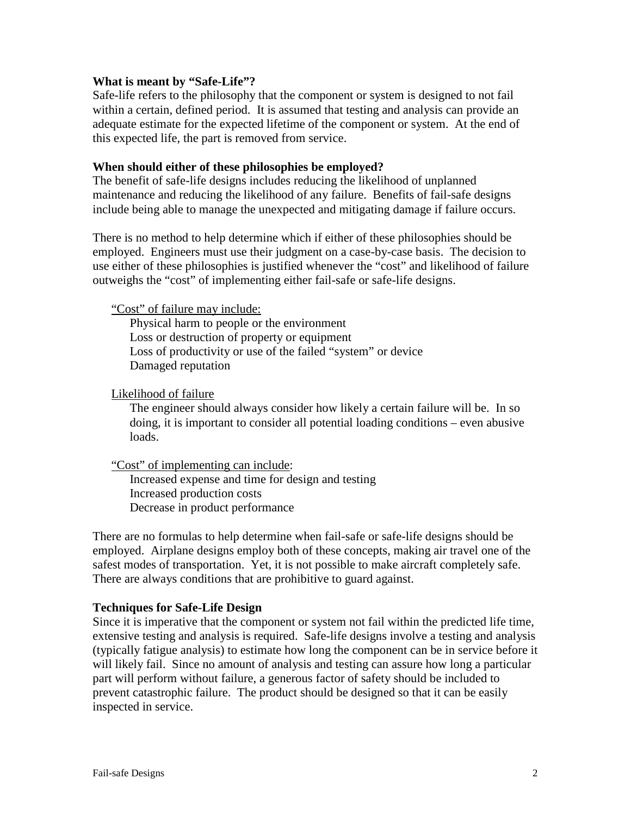# **What is meant by "Safe-Life"?**

Safe-life refers to the philosophy that the component or system is designed to not fail within a certain, defined period. It is assumed that testing and analysis can provide an adequate estimate for the expected lifetime of the component or system. At the end of this expected life, the part is removed from service.

### **When should either of these philosophies be employed?**

The benefit of safe-life designs includes reducing the likelihood of unplanned maintenance and reducing the likelihood of any failure. Benefits of fail-safe designs include being able to manage the unexpected and mitigating damage if failure occurs.

There is no method to help determine which if either of these philosophies should be employed. Engineers must use their judgment on a case-by-case basis. The decision to use either of these philosophies is justified whenever the "cost" and likelihood of failure outweighs the "cost" of implementing either fail-safe or safe-life designs.

"Cost" of failure may include:

Physical harm to people or the environment Loss or destruction of property or equipment Loss of productivity or use of the failed "system" or device Damaged reputation

# Likelihood of failure

The engineer should always consider how likely a certain failure will be. In so doing, it is important to consider all potential loading conditions – even abusive loads.

"Cost" of implementing can include:

Increased expense and time for design and testing Increased production costs Decrease in product performance

There are no formulas to help determine when fail-safe or safe-life designs should be employed. Airplane designs employ both of these concepts, making air travel one of the safest modes of transportation. Yet, it is not possible to make aircraft completely safe. There are always conditions that are prohibitive to guard against.

### **Techniques for Safe-Life Design**

Since it is imperative that the component or system not fail within the predicted life time, extensive testing and analysis is required. Safe-life designs involve a testing and analysis (typically fatigue analysis) to estimate how long the component can be in service before it will likely fail. Since no amount of analysis and testing can assure how long a particular part will perform without failure, a generous factor of safety should be included to prevent catastrophic failure. The product should be designed so that it can be easily inspected in service.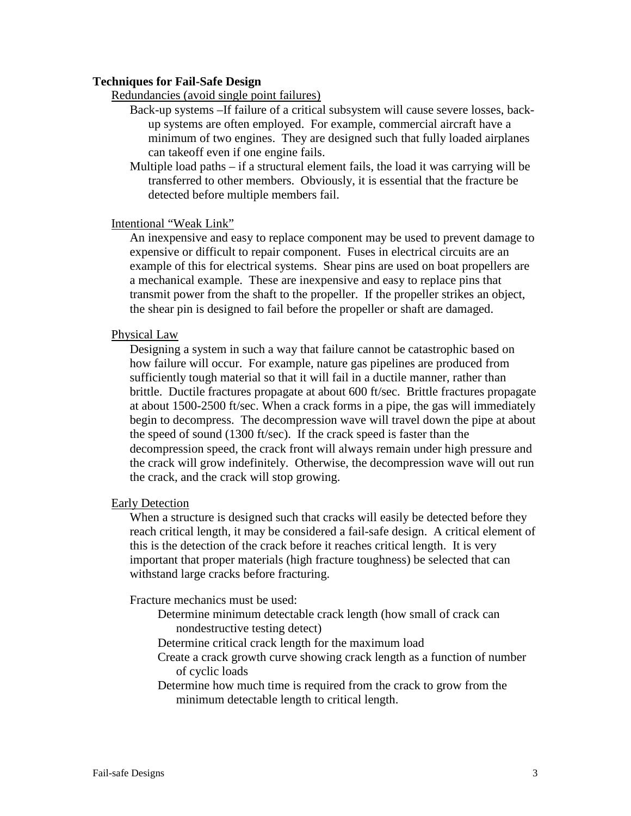### **Techniques for Fail-Safe Design**

Redundancies (avoid single point failures)

- Back-up systems –If failure of a critical subsystem will cause severe losses, backup systems are often employed. For example, commercial aircraft have a minimum of two engines. They are designed such that fully loaded airplanes can takeoff even if one engine fails.
- Multiple load paths if a structural element fails, the load it was carrying will be transferred to other members. Obviously, it is essential that the fracture be detected before multiple members fail.

# Intentional "Weak Link"

An inexpensive and easy to replace component may be used to prevent damage to expensive or difficult to repair component. Fuses in electrical circuits are an example of this for electrical systems. Shear pins are used on boat propellers are a mechanical example. These are inexpensive and easy to replace pins that transmit power from the shaft to the propeller. If the propeller strikes an object, the shear pin is designed to fail before the propeller or shaft are damaged.

# Physical Law

Designing a system in such a way that failure cannot be catastrophic based on how failure will occur. For example, nature gas pipelines are produced from sufficiently tough material so that it will fail in a ductile manner, rather than brittle. Ductile fractures propagate at about 600 ft/sec. Brittle fractures propagate at about 1500-2500 ft/sec. When a crack forms in a pipe, the gas will immediately begin to decompress. The decompression wave will travel down the pipe at about the speed of sound (1300 ft/sec). If the crack speed is faster than the decompression speed, the crack front will always remain under high pressure and the crack will grow indefinitely. Otherwise, the decompression wave will out run the crack, and the crack will stop growing.

### Early Detection

When a structure is designed such that cracks will easily be detected before they reach critical length, it may be considered a fail-safe design. A critical element of this is the detection of the crack before it reaches critical length. It is very important that proper materials (high fracture toughness) be selected that can withstand large cracks before fracturing.

Fracture mechanics must be used:

Determine minimum detectable crack length (how small of crack can nondestructive testing detect)

Determine critical crack length for the maximum load

Create a crack growth curve showing crack length as a function of number of cyclic loads

Determine how much time is required from the crack to grow from the minimum detectable length to critical length.